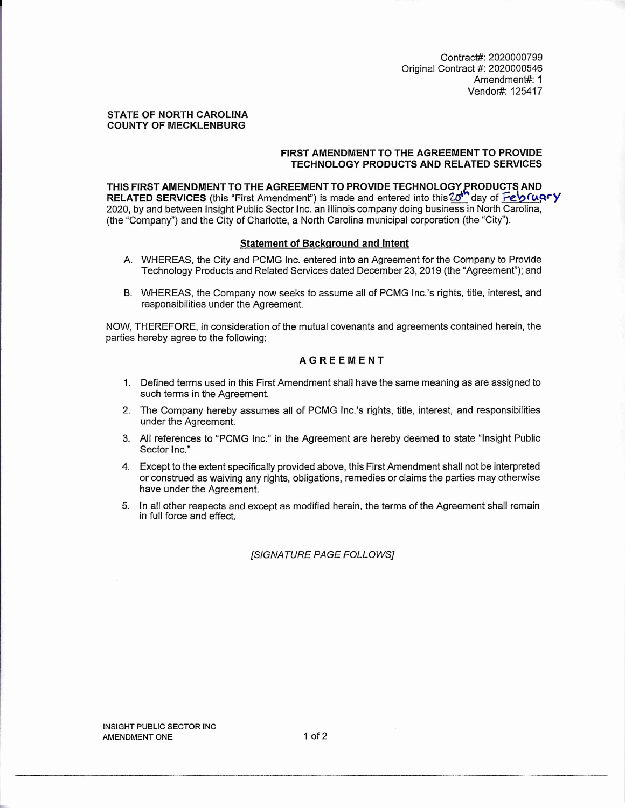Contract#: 2020000799 Original Contract #: 2020000546 Amendment#: 1 Vendor#: 125417

#### **STATE OF NORTH CAROLINA COUNTY OF MECKLENBURG**

## **FIRST AMENDMENT TO THE AGREEMENT TO PROVIDE TECHNOLOGY PRODUCTS AND RELATED SERVICES**

**THIS FIRST AMENDMENT TO THE AGREEMENT TO PROVIDE TECHNOLOGY RODUCTS AND**  RELATED SERVICES (this "First Amendment") is made and entered into this 20<sup>th</sup> day of Feb (upry 2020, by and between Insight Public Sector Inc. an Illinois company doing business in North Carolina, (the "Company") and the City of Charlotte, a North Carolina municipal corporation (the "City").

### **Statement of Backqround and Intent**

- A. WHEREAS, the City and PCMG Inc. entered into an Agreement for the Company to Provide Technology Products and Related Services dated December 23, 2019 (the "Agreement"); and
- B. WHEREAS, the Company now seeks to assume all of PCMG Inc.'s rights, title, interest, and responsibilities under the Agreement.

NOW, THEREFORE, in consideration of the mutual covenants and agreements contained herein, the parties hereby agree to the following:

# **AGREEMENT**

- 1. Defined terms used in this First Amendment shall have the same meaning as are assigned to such terms in the Agreement.
- 2. The Company hereby assumes all of PCMG Inc.'s rights, title, interest, and responsibilities under the Agreement.
- 3. All references to "PCMG Inc." in the Agreement are hereby deemed to state "Insight Public Sector Inc."
- 4. Except to the extent specifically provided above, this First Amendment shall not be interpreted or construed as waiving any rights, obligations, remedies or claims the parties may otherwise have under the Agreement.
- 5. In all other respects and except as modified herein, the terms of the Agreement shall remain in full force and effect.

## *[SIGNATURE PAGE FOLLOWS]*

INSIGHT PUBLIC SECTOR INC AMENDMENT ONE 1 of 2